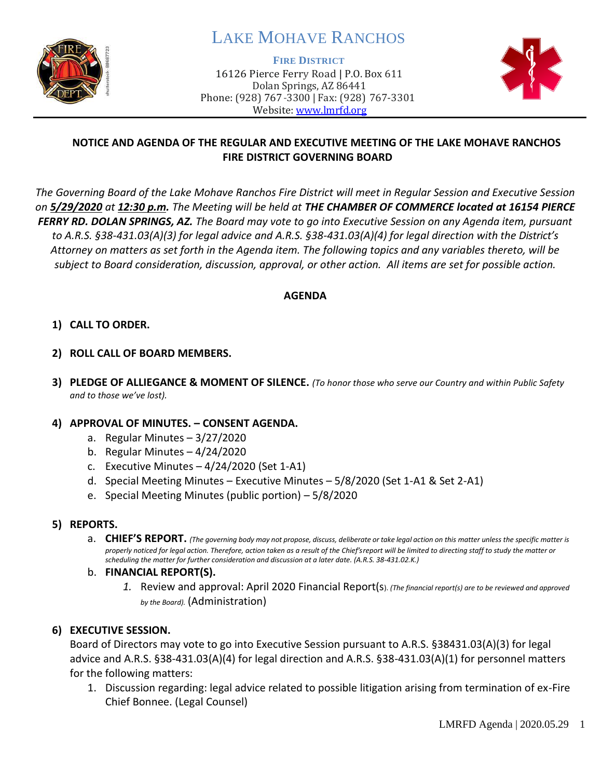

# LAKE MOHAVE RANCHOS

**FIRE DISTRICT**

16126 Pierce Ferry Road | P.O. Box 611 Dolan Springs, AZ 86441 Phone: (928) 767-3300 | Fax: (928) 767-3301 Website: [www.lmrfd.org](http://www.lmrfd.org/)



## **NOTICE AND AGENDA OF THE REGULAR AND EXECUTIVE MEETING OF THE LAKE MOHAVE RANCHOS FIRE DISTRICT GOVERNING BOARD**

*The Governing Board of the Lake Mohave Ranchos Fire District will meet in Regular Session and Executive Session on 5/29/2020 at 12:30 p.m. The Meeting will be held at THE CHAMBER OF COMMERCE located at 16154 PIERCE FERRY RD. DOLAN SPRINGS, AZ. The Board may vote to go into Executive Session on any Agenda item, pursuant to A.R.S. §38-431.03(A)(3) for legal advice and A.R.S. §38-431.03(A)(4) for legal direction with the District's Attorney on matters as set forth in the Agenda item. The following topics and any variables thereto, will be subject to Board consideration, discussion, approval, or other action. All items are set for possible action.* 

## **AGENDA**

## **1) CALL TO ORDER.**

- **2) ROLL CALL OF BOARD MEMBERS.**
- **3) PLEDGE OF ALLIEGANCE & MOMENT OF SILENCE.** *(To honor those who serve our Country and within Public Safety and to those we've lost).*

#### **4) APPROVAL OF MINUTES. – CONSENT AGENDA.**

- a. Regular Minutes 3/27/2020
- b. Regular Minutes 4/24/2020
- c. Executive Minutes  $-4/24/2020$  (Set 1-A1)
- d. Special Meeting Minutes Executive Minutes 5/8/2020 (Set 1-A1 & Set 2-A1)
- e. Special Meeting Minutes (public portion) 5/8/2020

#### **5) REPORTS.**

a. CHIEF'S REPORT. (The governing body may not propose, discuss, deliberate or take legal action on this matter unless the specific matter is *properly noticed for legal action. Therefore, action taken as a result of the Chief's report will be limited to directing staff to study the matter or scheduling the matter for further consideration and discussion at a later date. (A.R.S. 38-431.02.K.)*

#### b. **FINANCIAL REPORT(S).**

*1.* Review and approval: April 2020 Financial Report(s). *(The financial report(s) are to be reviewed and approved by the Board).* (Administration)

## **6) EXECUTIVE SESSION.**

Board of Directors may vote to go into Executive Session pursuant to A.R.S. §38431.03(A)(3) for legal advice and A.R.S. §38-431.03(A)(4) for legal direction and A.R.S. §38-431.03(A)(1) for personnel matters for the following matters:

1. Discussion regarding: legal advice related to possible litigation arising from termination of ex-Fire Chief Bonnee. (Legal Counsel)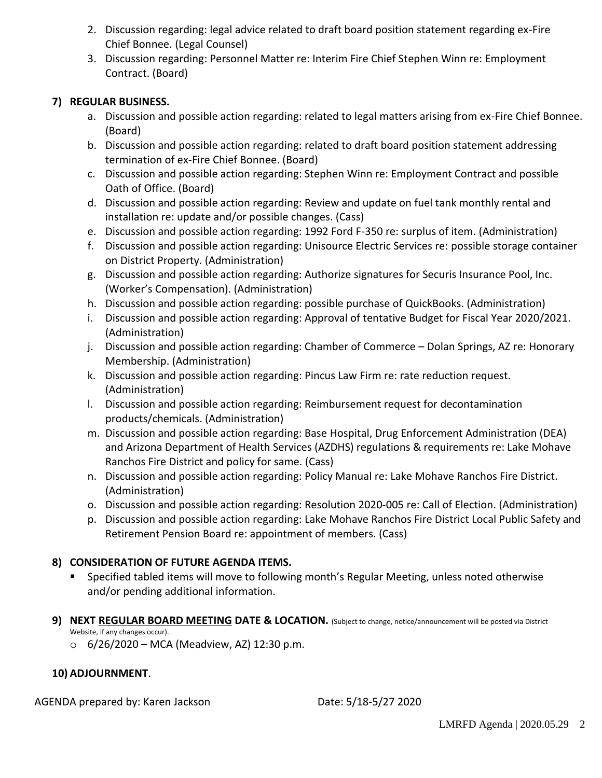- 2. Discussion regarding: legal advice related to draft board position statement regarding ex-Fire Chief Bonnee. (Legal Counsel)
- 3. Discussion regarding: Personnel Matter re: Interim Fire Chief Stephen Winn re: Employment Contract. (Board)

## **7) REGULAR BUSINESS.**

- a. Discussion and possible action regarding: related to legal matters arising from ex-Fire Chief Bonnee. (Board)
- b. Discussion and possible action regarding: related to draft board position statement addressing termination of ex-Fire Chief Bonnee. (Board)
- c. Discussion and possible action regarding: Stephen Winn re: Employment Contract and possible Oath of Office. (Board)
- d. Discussion and possible action regarding: Review and update on fuel tank monthly rental and installation re: update and/or possible changes. (Cass)
- e. Discussion and possible action regarding: 1992 Ford F-350 re: surplus of item. (Administration)
- f. Discussion and possible action regarding: Unisource Electric Services re: possible storage container on District Property. (Administration)
- g. Discussion and possible action regarding: Authorize signatures for Securis Insurance Pool, Inc. (Worker's Compensation). (Administration)
- h. Discussion and possible action regarding: possible purchase of QuickBooks. (Administration)
- i. Discussion and possible action regarding: Approval of tentative Budget for Fiscal Year 2020/2021. (Administration)
- j. Discussion and possible action regarding: Chamber of Commerce Dolan Springs, AZ re: Honorary Membership. (Administration)
- k. Discussion and possible action regarding: Pincus Law Firm re: rate reduction request. (Administration)
- l. Discussion and possible action regarding: Reimbursement request for decontamination products/chemicals. (Administration)
- m. Discussion and possible action regarding: Base Hospital, Drug Enforcement Administration (DEA) and Arizona Department of Health Services (AZDHS) regulations & requirements re: Lake Mohave Ranchos Fire District and policy for same. (Cass)
- n. Discussion and possible action regarding: Policy Manual re: Lake Mohave Ranchos Fire District. (Administration)
- o. Discussion and possible action regarding: Resolution 2020-005 re: Call of Election. (Administration)
- p. Discussion and possible action regarding: Lake Mohave Ranchos Fire District Local Public Safety and Retirement Pension Board re: appointment of members. (Cass)

# **8) CONSIDERATION OF FUTURE AGENDA ITEMS.**

- Specified tabled items will move to following month's Regular Meeting, unless noted otherwise and/or pending additional information.
- **9) NEXT REGULAR BOARD MEETING DATE & LOCATION.** (Subject to change, notice/announcement will be posted via District Website, if any changes occur).
	- $\circ$  6/26/2020 MCA (Meadview, AZ) 12:30 p.m.

## **10) ADJOURNMENT**.

AGENDA prepared by: Karen Jackson Date: 5/18-5/27 2020